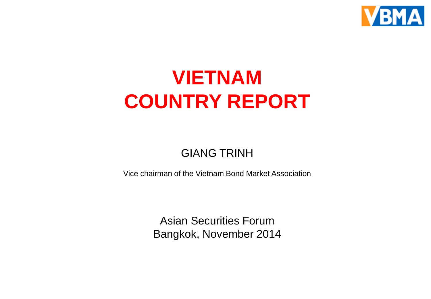

# **VIETNAM COUNTRY REPORT**

#### GIANG TRINH

Vice chairman of the Vietnam Bond Market Association

Asian Securities Forum Bangkok, November 2014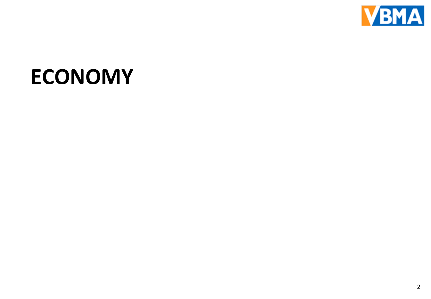

# **ECONOMY**

 $\overline{\phantom{0}}$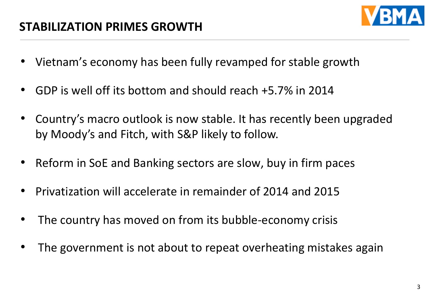

- Vietnam's economy has been fully revamped for stable growth
- GDP is well off its bottom and should reach +5.7% in 2014
- Country's macro outlook is now stable. It has recently been upgraded by Moody's and Fitch, with S&P likely to follow.
- Reform in SoE and Banking sectors are slow, buy in firm paces
- Privatization will accelerate in remainder of 2014 and 2015
- The country has moved on from its bubble-economy crisis
- The government is not about to repeat overheating mistakes again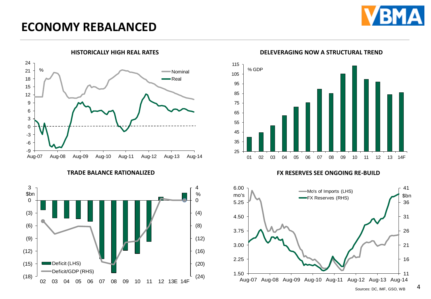

## **ECONOMY REBALANCED**







**HISTORICALLY HIGH REAL RATES DELEVERAGING NOW A STRUCTURAL TREND**

**TRADE BALANCE RATIONALIZED FX RESERVES SEE ONGOING RE-BUILD**



4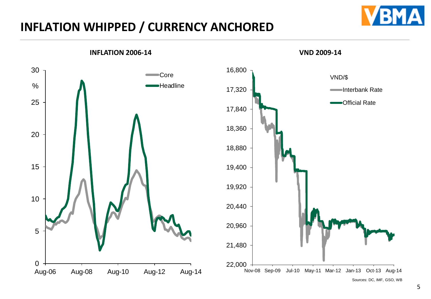# **INFLATION WHIPPED / CURRENCY ANCHORED**



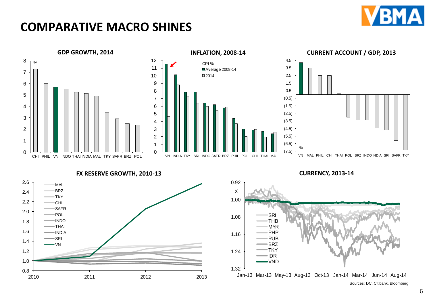

# **COMPARATIVE MACRO SHINES**







**FX RESERVE GROWTH, 2010-13 CURRENCY, 2013-14**





Sources: DC, Citibank, Bloomberg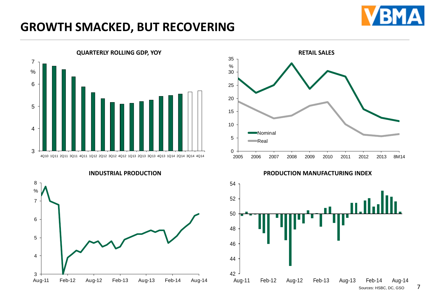

# **GROWTH SMACKED, BUT RECOVERING**







**INDUSTRIAL PRODUCTION PRODUCTION MANUFACTURING INDEX**

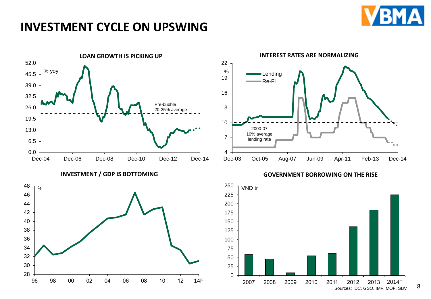

# **INVESTMENT CYCLE ON UPSWING**



#### **INVESTMENT / GDP IS BOTTOMING**





**GOVERNMENT BORROWING ON THE RISE**

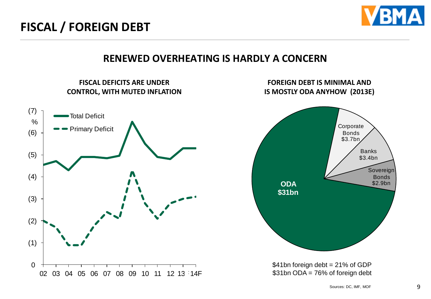

#### **RENEWED OVERHEATING IS HARDLY A CONCERN**

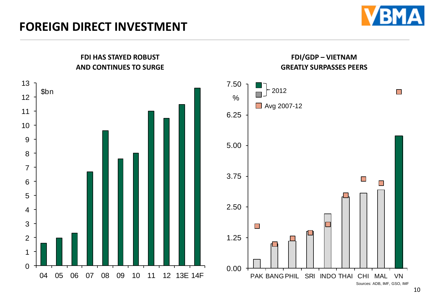



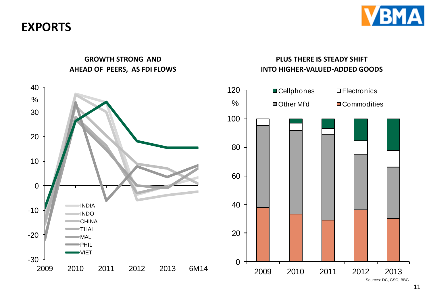**EXPORTS**





# **INTO HIGHER-VALUED-ADDED GOODS**

Sources: DC, GSO, BBG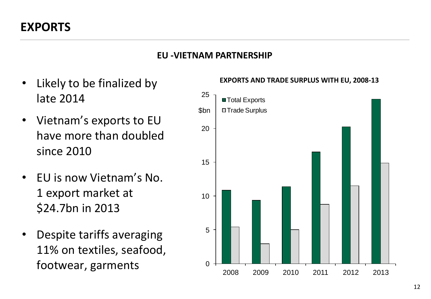#### **EU -VIETNAM PARTNERSHIP**

- Likely to be finalized by late 2014
- Vietnam's exports to EU have more than doubled since 2010
- EU is now Vietnam's No. 1 export market at \$24.7bn in 2013
- Despite tariffs averaging 11% on textiles, seafood, footwear, garments



#### **EXPORTS AND TRADE SURPLUS WITH EU, 2008-13**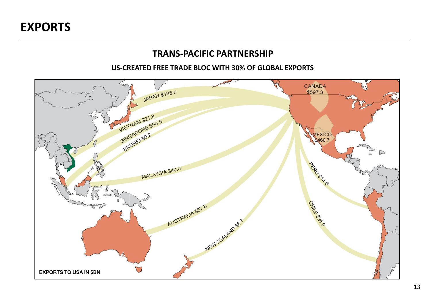#### **TRANS-PACIFIC PARTNERSHIP**

#### **US-CREATED FREE TRADE BLOC WITH 30% OF GLOBAL EXPORTS**

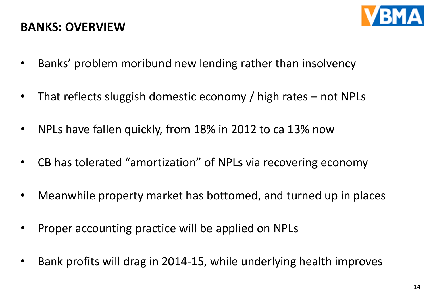

- Banks' problem moribund new lending rather than insolvency
- That reflects sluggish domestic economy / high rates not NPLs
- NPLs have fallen quickly, from 18% in 2012 to ca 13% now
- CB has tolerated "amortization" of NPLs via recovering economy
- Meanwhile property market has bottomed, and turned up in places
- Proper accounting practice will be applied on NPLs
- Bank profits will drag in 2014-15, while underlying health improves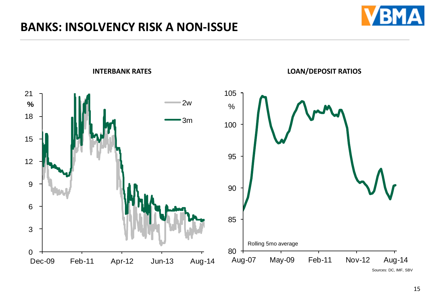# **BANKS: INSOLVENCY RISK A NON-ISSUE**





Sources: DC, IMF, SBV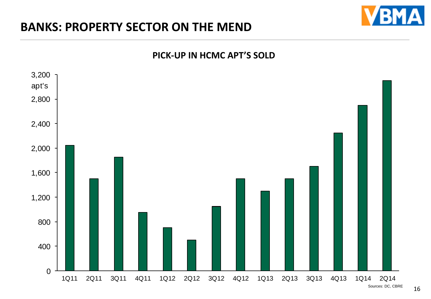## **BANKS: PROPERTY SECTOR ON THE MEND**







Sources: DC, CBRE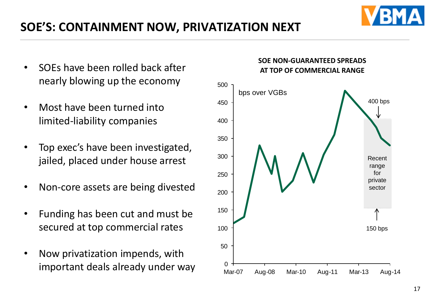# **SOE'S: CONTAINMENT NOW, PRIVATIZATION NEXT**

- SOEs have been rolled back after nearly blowing up the economy
- Most have been turned into limited-liability companies
- Top exec's have been investigated, jailed, placed under house arrest
- Non-core assets are being divested
- Funding has been cut and must be secured at top commercial rates
- Now privatization impends, with important deals already under way



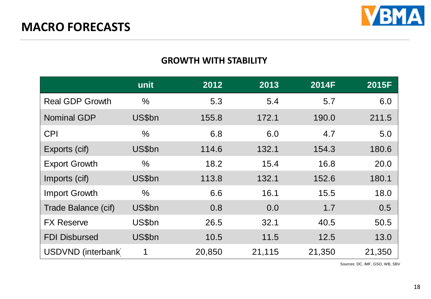

#### **GROWTH WITH STABILITY**

|                        | unit          | 2012   | 2013   | 2014F  | 2015F  |
|------------------------|---------------|--------|--------|--------|--------|
| <b>Real GDP Growth</b> | $\frac{0}{0}$ | 5.3    | 5.4    | 5.7    | 6.0    |
| <b>Nominal GDP</b>     | US\$bn        | 155.8  | 172.1  | 190.0  | 211.5  |
| <b>CPI</b>             | $\frac{0}{0}$ | 6.8    | 6.0    | 4.7    | 5.0    |
| Exports (cif)          | US\$bn        | 114.6  | 132.1  | 154.3  | 180.6  |
| <b>Export Growth</b>   | $\frac{0}{0}$ | 18.2   | 15.4   | 16.8   | 20.0   |
| Imports (cif)          | US\$bn        | 113.8  | 132.1  | 152.6  | 180.1  |
| <b>Import Growth</b>   | $\frac{0}{0}$ | 6.6    | 16.1   | 15.5   | 18.0   |
| Trade Balance (cif)    | US\$bn        | 0.8    | 0.0    | 1.7    | 0.5    |
| <b>FX Reserve</b>      | US\$bn        | 26.5   | 32.1   | 40.5   | 50.5   |
| <b>FDI Disbursed</b>   | US\$bn        | 10.5   | 11.5   | 12.5   | 13.0   |
| USDVND (interbank)     | 1             | 20,850 | 21,115 | 21,350 | 21,350 |

Sources: DC, IMF, GSO, WB, SBV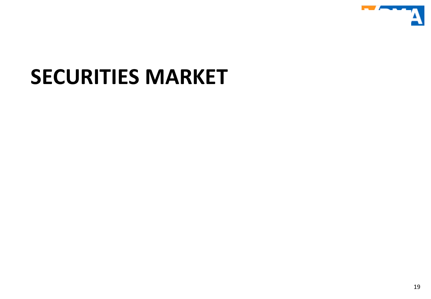

# **SECURITIES MARKET**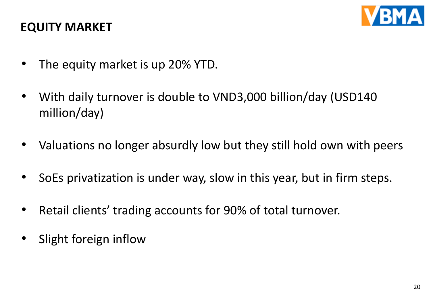

- The equity market is up 20% YTD.
- With daily turnover is double to VND3,000 billion/day (USD140 million/day)
- Valuations no longer absurdly low but they still hold own with peers
- SoEs privatization is under way, slow in this year, but in firm steps.
- Retail clients' trading accounts for 90% of total turnover.
- Slight foreign inflow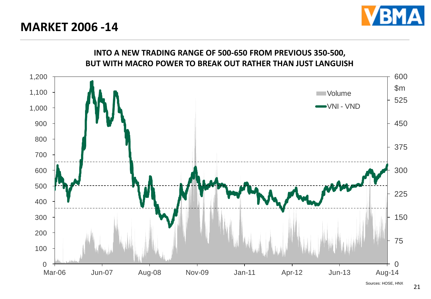**MARKET 2006 -14**



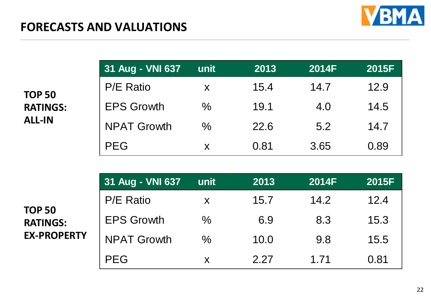

| <b>TOP 50</b>   |
|-----------------|
| <b>RATINGS:</b> |
| <b>ALL-IN</b>   |

| 31 Aug - VNI 637   | unit          | 2013 | 2014F | 2015F |
|--------------------|---------------|------|-------|-------|
| <b>P/E Ratio</b>   | X             | 15.4 | 14.7  | 12.9  |
| <b>EPS Growth</b>  | $\frac{0}{0}$ | 19.1 | 4.0   | 14.5  |
| <b>NPAT Growth</b> | $\frac{0}{0}$ | 22.6 | 5.2   | 147   |
| <b>PEG</b>         | X             | 0.81 | 3.65  | 0.89  |

|                                                        | 31 Aug - VNI 637   | unit | 2013 | <b>2014F</b> | 2015F |
|--------------------------------------------------------|--------------------|------|------|--------------|-------|
| <b>TOP 50</b><br><b>RATINGS:</b><br><b>EX-PROPERTY</b> | <b>P/E Ratio</b>   | X    | 15.7 | 14.2         | 12.4  |
|                                                        | <b>EPS Growth</b>  | $\%$ | 6.9  | 8.3          | 15.3  |
|                                                        | <b>NPAT Growth</b> | $\%$ | 10.0 | 9.8          | 15.5  |
|                                                        | <b>PEG</b>         | X    | 2.27 | 1 71         | 0.81  |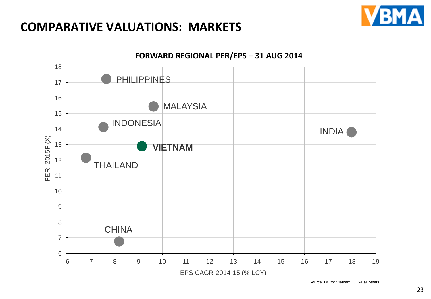## **COMPARATIVE VALUATIONS: MARKETS**





Source: DC for Vietnam, CLSA all others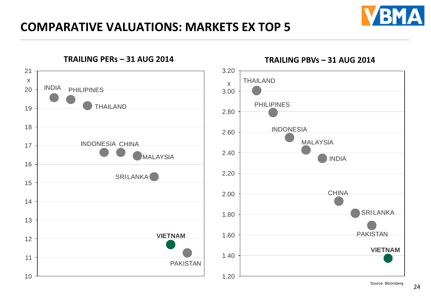

# **COMPARATIVE VALUATIONS: MARKETS EX TOP 5**

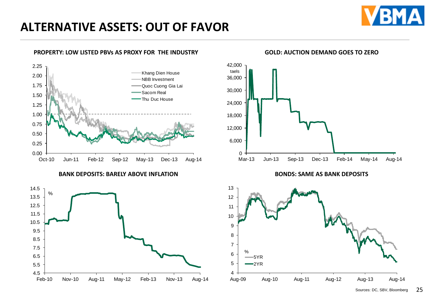

#### **PROPERTY: LOW LISTED PBVs AS PROXY FOR THE INDUSTRY**



**BANK DEPOSITS: BARELY ABOVE INFLATION**





#### **GOLD: AUCTION DEMAND GOES TO ZERO**



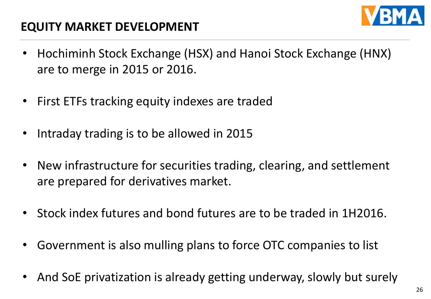

# **EQUITY MARKET DEVELOPMENT**

- Hochiminh Stock Exchange (HSX) and Hanoi Stock Exchange (HNX) are to merge in 2015 or 2016.
- First ETFs tracking equity indexes are traded
- Intraday trading is to be allowed in 2015
- New infrastructure for securities trading, clearing, and settlement are prepared for derivatives market.
- Stock index futures and bond futures are to be traded in 1H2016.
- Government is also mulling plans to force OTC companies to list
- And SoE privatization is already getting underway, slowly but surely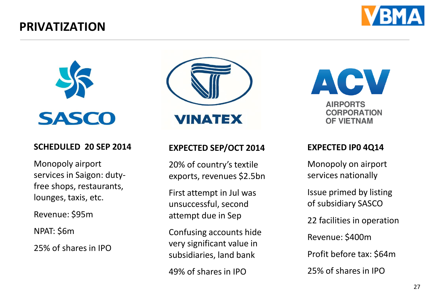## **PRIVATIZATION**





#### **SCHEDULED 20 SEP 2014**

Monopoly airport services in Saigon: dutyfree shops, restaurants, lounges, taxis, etc.

Revenue: \$95m

NPAT: \$6m

25% of shares in IPO



#### **EXPECTED SEP/OCT 2014**

20% of country's textile exports, revenues \$2.5bn

First attempt in Jul was unsuccessful, second attempt due in Sep

Confusing accounts hide very significant value in subsidiaries, land bank

49% of shares in IPO

ACV **AIRPORTS** 

**CORPORATION OF VIETNAM** 

#### **EXPECTED IP0 4Q14**

Monopoly on airport services nationally

Issue primed by listing of subsidiary SASCO

22 facilities in operation

Revenue: \$400m

Profit before tax: \$64m

25% of shares in IPO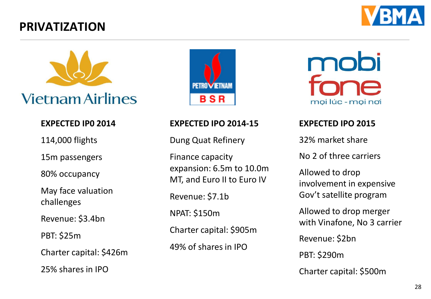# **PRIVATIZATION**





#### **EXPECTED IP0 2014**

114,000 flights

15m passengers

80% occupancy

May face valuation challenges

Revenue: \$3.4bn

PBT: \$25m

Charter capital: \$426m

25% shares in IPO



#### **EXPECTED IPO 2014-15**

Dung Quat Refinery

Finance capacity expansion: 6.5m to 10.0m MT, and Euro II to Euro IV

Revenue: \$7.1b

NPAT: \$150m

Charter capital: \$905m

49% of shares in IPO

mobi mọi lúc - mọi nơi

#### **EXPECTED IPO 2015**

32% market share

No 2 of three carriers

Allowed to drop involvement in expensive Gov't satellite program

Allowed to drop merger with Vinafone, No 3 carrier

Revenue: \$2bn

PBT: \$290m

Charter capital: \$500m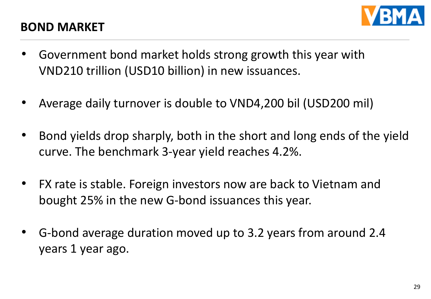

### **BOND MARKET**

- Government bond market holds strong growth this year with VND210 trillion (USD10 billion) in new issuances.
- Average daily turnover is double to VND4,200 bil (USD200 mil)
- Bond yields drop sharply, both in the short and long ends of the yield curve. The benchmark 3-year yield reaches 4.2%.
- FX rate is stable. Foreign investors now are back to Vietnam and bought 25% in the new G-bond issuances this year.
- G-bond average duration moved up to 3.2 years from around 2.4 years 1 year ago.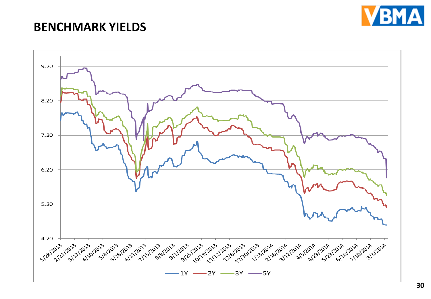

#### **BENCHMARK YIELDS**

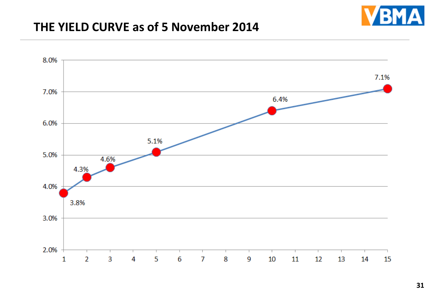

#### **THE YIELD CURVE as of 5 November 2014**

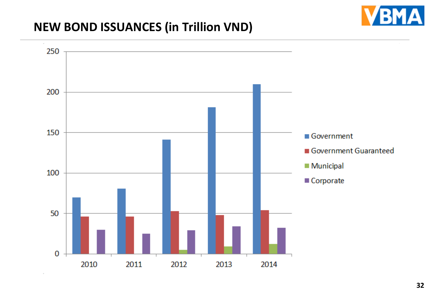# **NEW BOND ISSUANCES (in Trillion VND)**

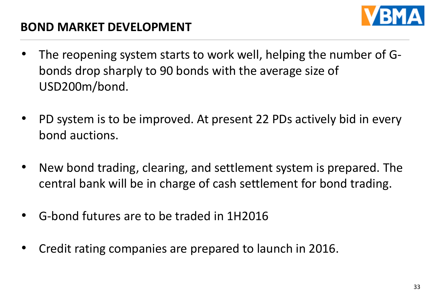

# **BOND MARKET DEVELOPMENT**

- The reopening system starts to work well, helping the number of Gbonds drop sharply to 90 bonds with the average size of USD200m/bond.
- PD system is to be improved. At present 22 PDs actively bid in every bond auctions.
- New bond trading, clearing, and settlement system is prepared. The central bank will be in charge of cash settlement for bond trading.
- G-bond futures are to be traded in 1H2016
- Credit rating companies are prepared to launch in 2016.